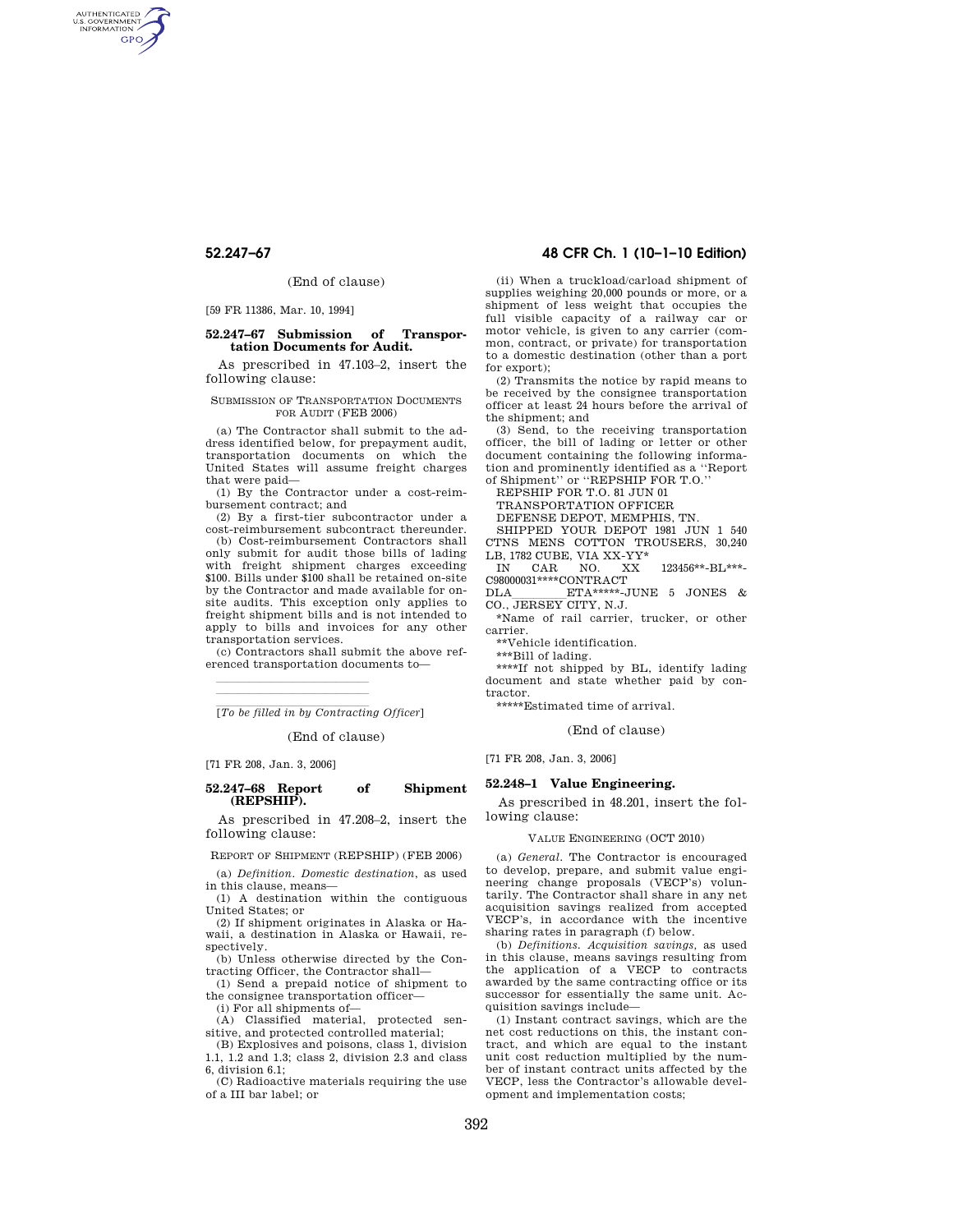AUTHENTICATED<br>U.S. GOVERNMENT<br>INFORMATION **GPO** 

(End of clause)

[59 FR 11386, Mar. 10, 1994]

# **52.247–67 Submission of Transportation Documents for Audit.**

As prescribed in 47.103–2, insert the following clause:

#### SUBMISSION OF TRANSPORTATION DOCUMENTS FOR AUDIT (FEB 2006)

(a) The Contractor shall submit to the address identified below, for prepayment audit, transportation documents on which the United States will assume freight charges that were paid—

(1) By the Contractor under a cost-reimbursement contract; and

(2) By a first-tier subcontractor under a cost-reimbursement subcontract thereunder.

(b) Cost-reimbursement Contractors shall only submit for audit those bills of lading with freight shipment charges exceeding \$100. Bills under \$100 shall be retained on-site by the Contractor and made available for onsite audits. This exception only applies to freight shipment bills and is not intended to apply to bills and invoices for any other transportation services.

(c) Contractors shall submit the above referenced transportation documents to—

[To be filled in by Contracting Officer]

llland and a state of the state of the state of the state of the state of the state of the state of the state o llland and a state of the state of the state of the state of the state of the state of the state of the state o

# (End of clause)

[71 FR 208, Jan. 3, 2006]

## **52.247–68 Report of Shipment (REPSHIP).**

As prescribed in 47.208–2, insert the following clause:

# REPORT OF SHIPMENT (REPSHIP) (FEB 2006)

(a) *Definition*. *Domestic destination*, as used in this clause, means—

(1) A destination within the contiguous United States; or

(2) If shipment originates in Alaska or Hawaii, a destination in Alaska or Hawaii, respectively.

(b) Unless otherwise directed by the Contracting Officer, the Contractor shall—

(1) Send a prepaid notice of shipment to the consignee transportation officer—

(i) For all shipments of—

(A) Classified material, protected sensitive, and protected controlled material;

(B) Explosives and poisons, class 1, division 1.1, 1.2 and 1.3; class 2, division 2.3 and class 6, division 6.1;

(C) Radioactive materials requiring the use of a III bar label; or

# **52.247–67 48 CFR Ch. 1 (10–1–10 Edition)**

(ii) When a truckload/carload shipment of supplies weighing 20,000 pounds or more, or a shipment of less weight that occupies the full visible capacity of a railway car or motor vehicle, is given to any carrier (common, contract, or private) for transportation to a domestic destination (other than a port for export);

(2) Transmits the notice by rapid means to be received by the consignee transportation officer at least 24 hours before the arrival of the shipment; and

(3) Send, to the receiving transportation officer, the bill of lading or letter or other document containing the following information and prominently identified as a ''Report of Shipment'' or ''REPSHIP FOR T.O.''

REPSHIP FOR T.O. 81 JUN 01

TRANSPORTATION OFFICER

DEFENSE DEPOT, MEMPHIS, TN.

SHIPPED YOUR DEPOT 1981 JUN 1 540 CTNS MENS COTTON TROUSERS, 30,240 LB, 1782 CUBE, VIA XX-YY\*<br>IN CAR NO. XX

123456\*\*-BL\*\*\*-C98000031\*\*\*\*CONTRACT<br>DLA ETA\*\*\*\*\*-J

DLA\_\_\_\_\_\_\_\_\_\_\_ETA\*\*\*\*\*-JUNE 5 JONES & CO., JERSEY CITY, N.J.

\*Name of rail carrier, trucker, or other carrier.

\*\*Vehicle identification.

\*\*\*Bill of lading.

\*\*\*\*If not shipped by BL, identify lading document and state whether paid by contractor.

\*\*\*\*\*Estimated time of arrival.

## (End of clause)

[71 FR 208, Jan. 3, 2006]

## **52.248–1 Value Engineering.**

As prescribed in 48.201, insert the following clause:

## VALUE ENGINEERING (OCT 2010)

(a) *General.* The Contractor is encouraged to develop, prepare, and submit value engineering change proposals (VECP's) voluntarily. The Contractor shall share in any net acquisition savings realized from accepted VECP's, in accordance with the incentive sharing rates in paragraph (f) below.

(b) *Definitions. Acquisition savings,* as used in this clause, means savings resulting from the application of a VECP to contracts awarded by the same contracting office or its successor for essentially the same unit. Acquisition savings include—

(1) Instant contract savings, which are the net cost reductions on this, the instant contract, and which are equal to the instant unit cost reduction multiplied by the number of instant contract units affected by the VECP, less the Contractor's allowable development and implementation costs;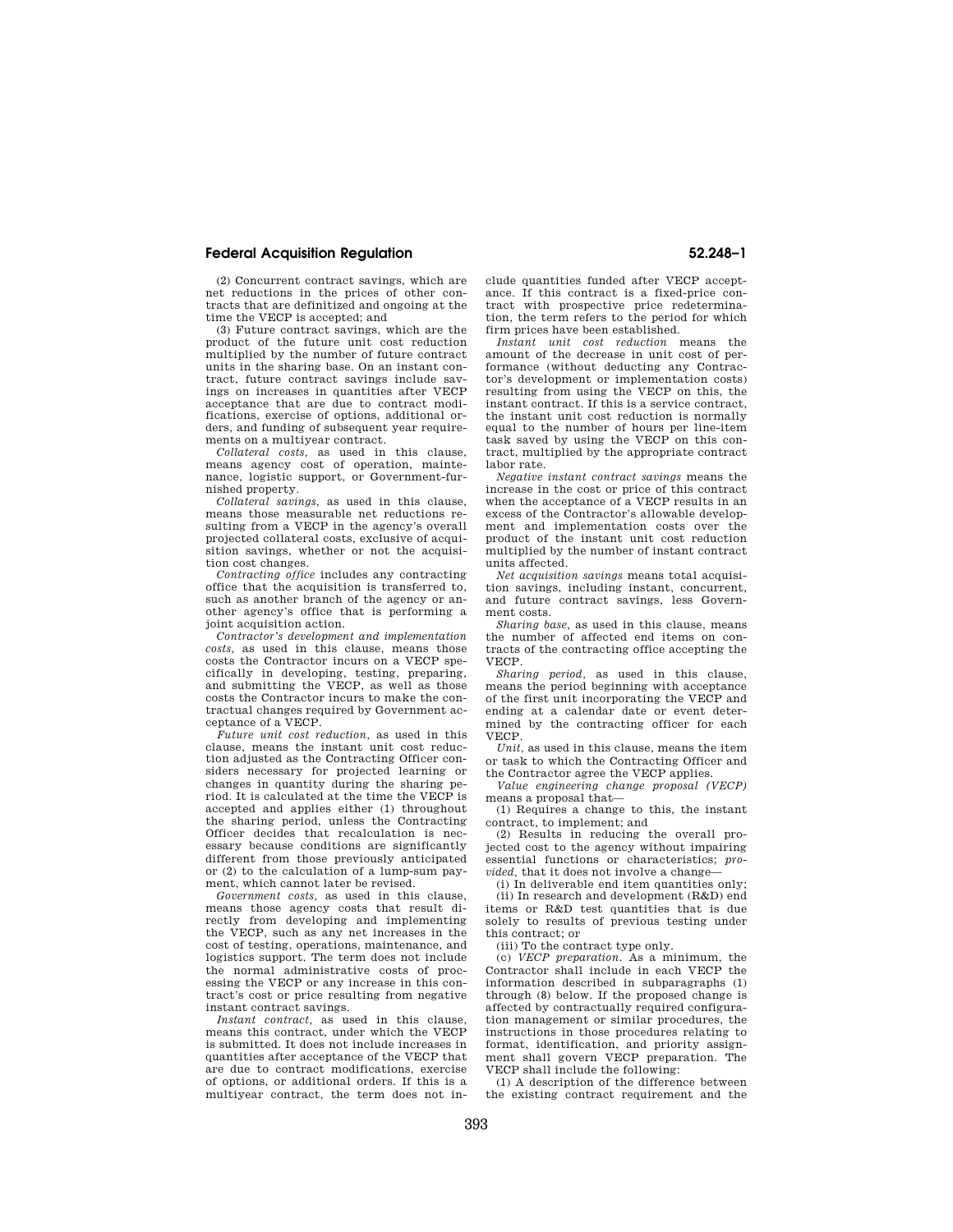# **Federal Acquisition Regulation 52.248–1**

(2) Concurrent contract savings, which are net reductions in the prices of other contracts that are definitized and ongoing at the time the VECP is accepted; and

(3) Future contract savings, which are the product of the future unit cost reduction multiplied by the number of future contract units in the sharing base. On an instant contract, future contract savings include savings on increases in quantities after VECP acceptance that are due to contract modifications, exercise of options, additional orders, and funding of subsequent year requirements on a multiyear contract.

*Collateral costs,* as used in this clause, means agency cost of operation, maintenance, logistic support, or Government-furnished property.

*Collateral savings,* as used in this clause, means those measurable net reductions resulting from a VECP in the agency's overall projected collateral costs, exclusive of acquisition savings, whether or not the acquisition cost changes.

*Contracting office* includes any contracting office that the acquisition is transferred to, such as another branch of the agency or another agency's office that is performing a joint acquisition action.

*Contractor's development and implementation costs,* as used in this clause, means those costs the Contractor incurs on a VECP specifically in developing, testing, preparing, and submitting the VECP, as well as those costs the Contractor incurs to make the contractual changes required by Government acceptance of a VECP.

*Future unit cost reduction,* as used in this clause, means the instant unit cost reduction adjusted as the Contracting Officer considers necessary for projected learning or changes in quantity during the sharing period. It is calculated at the time the VECP is accepted and applies either (1) throughout the sharing period, unless the Contracting Officer decides that recalculation is necessary because conditions are significantly different from those previously anticipated or (2) to the calculation of a lump-sum payment, which cannot later be revised.

*Government costs,* as used in this clause, means those agency costs that result directly from developing and implementing the VECP, such as any net increases in the cost of testing, operations, maintenance, and logistics support. The term does not include the normal administrative costs of processing the VECP or any increase in this contract's cost or price resulting from negative instant contract savings.

*Instant contract,* as used in this clause, means this contract, under which the VECP is submitted. It does not include increases in quantities after acceptance of the VECP that are due to contract modifications, exercise of options, or additional orders. If this is a multiyear contract, the term does not include quantities funded after VECP acceptance. If this contract is a fixed-price contract with prospective price redetermination, the term refers to the period for which firm prices have been established.

*Instant unit cost reduction* means the amount of the decrease in unit cost of performance (without deducting any Contractor's development or implementation costs) resulting from using the VECP on this, the instant contract. If this is a service contract, the instant unit cost reduction is normally equal to the number of hours per line-item task saved by using the VECP on this contract, multiplied by the appropriate contract labor rate.

*Negative instant contract savings* means the increase in the cost or price of this contract when the acceptance of a VECP results in an excess of the Contractor's allowable development and implementation costs over the product of the instant unit cost reduction multiplied by the number of instant contract units affected.

*Net acquisition savings* means total acquisition savings, including instant, concurrent, and future contract savings, less Government costs.

*Sharing base,* as used in this clause, means the number of affected end items on contracts of the contracting office accepting the VECP.

*Sharing period,* as used in this clause, means the period beginning with acceptance of the first unit incorporating the VECP and ending at a calendar date or event determined by the contracting officer for each VECP.

*Unit,* as used in this clause, means the item or task to which the Contracting Officer and the Contractor agree the VECP applies.

*Value engineering change proposal (VECP)*  means a proposal that—

(1) Requires a change to this, the instant contract, to implement; and

(2) Results in reducing the overall projected cost to the agency without impairing essential functions or characteristics; *provided,* that it does not involve a change—

(i) In deliverable end item quantities only; (ii) In research and development (R&D) end items or R&D test quantities that is due solely to results of previous testing under this contract; or

(iii) To the contract type only.

(c) *VECP preparation.* As a minimum, the Contractor shall include in each VECP the information described in subparagraphs (1) through (8) below. If the proposed change is affected by contractually required configuration management or similar procedures, the instructions in those procedures relating to format, identification, and priority assignment shall govern VECP preparation. The VECP shall include the following:

(1) A description of the difference between the existing contract requirement and the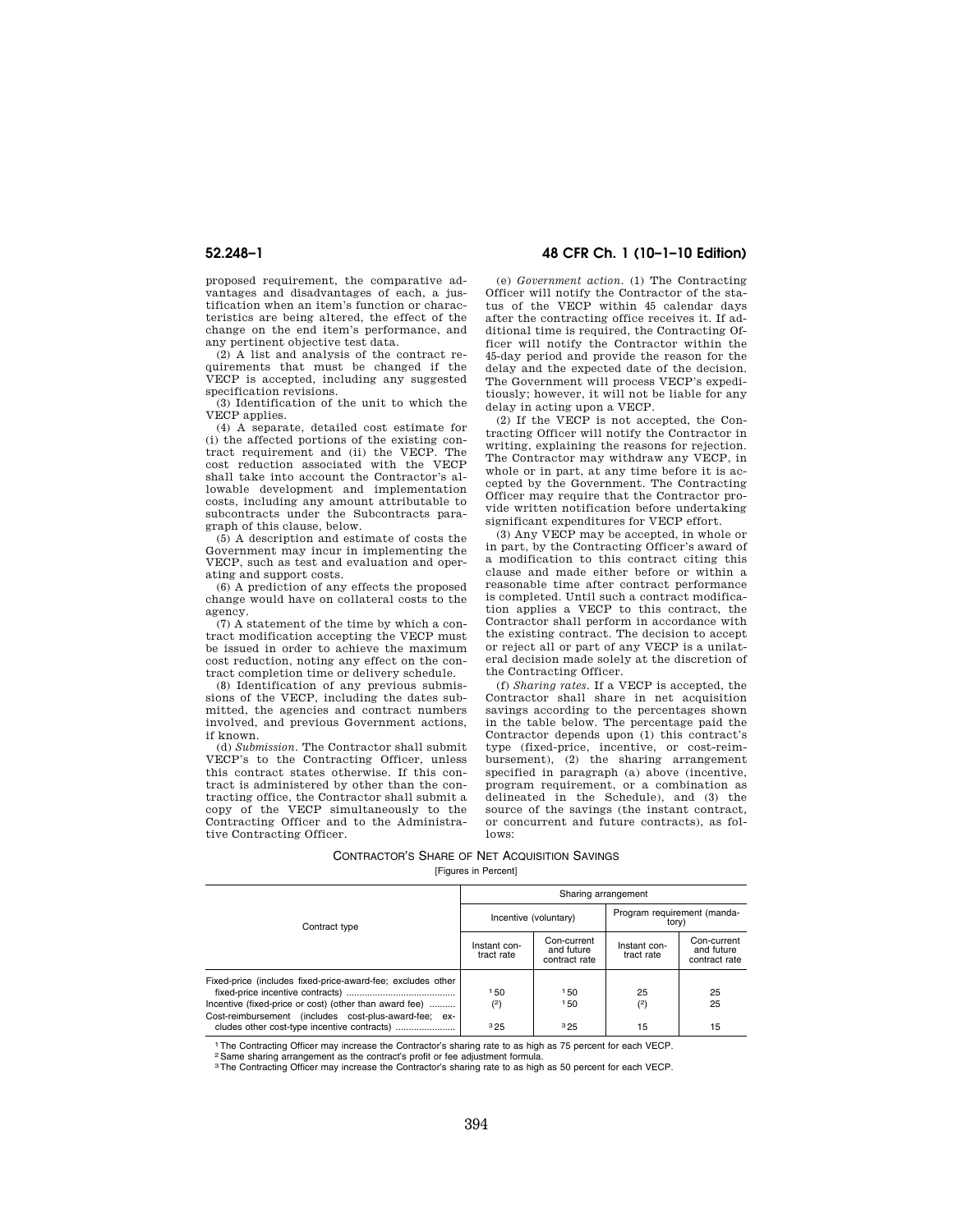proposed requirement, the comparative advantages and disadvantages of each, a justification when an item's function or characteristics are being altered, the effect of the change on the end item's performance, and any pertinent objective test data.

(2) A list and analysis of the contract requirements that must be changed if the VECP is accepted, including any suggested specification revisions.

(3) Identification of the unit to which the VECP applies.

(4) A separate, detailed cost estimate for (i) the affected portions of the existing con-<br>tract requirement and (ii) the VECP The tract requirement and (ii) the VECP. cost reduction associated with the VECP shall take into account the Contractor's allowable development and implementation costs, including any amount attributable to subcontracts under the Subcontracts paragraph of this clause, below.

(5) A description and estimate of costs the Government may incur in implementing the VECP, such as test and evaluation and operating and support costs.

(6) A prediction of any effects the proposed change would have on collateral costs to the agency.

(7) A statement of the time by which a contract modification accepting the VECP must be issued in order to achieve the maximum cost reduction, noting any effect on the contract completion time or delivery schedule.

(8) Identification of any previous submissions of the VECP, including the dates submitted, the agencies and contract numbers involved, and previous Government actions, if known.

(d) *Submission.* The Contractor shall submit VECP's to the Contracting Officer, unless this contract states otherwise. If this contract is administered by other than the contracting office, the Contractor shall submit a copy of the VECP simultaneously to the Contracting Officer and to the Administrative Contracting Officer.

# **52.248–1 48 CFR Ch. 1 (10–1–10 Edition)**

(e) *Government action.* (1) The Contracting Officer will notify the Contractor of the status of the VECP within 45 calendar days after the contracting office receives it. If additional time is required, the Contracting Officer will notify the Contractor within the 45-day period and provide the reason for the delay and the expected date of the decision. The Government will process VECP's expeditiously; however, it will not be liable for any delay in acting upon a VECP.

(2) If the VECP is not accepted, the Contracting Officer will notify the Contractor in writing, explaining the reasons for rejection. The Contractor may withdraw any VECP, in whole or in part, at any time before it is accepted by the Government. The Contracting Officer may require that the Contractor provide written notification before undertaking significant expenditures for VECP effort.

(3) Any VECP may be accepted, in whole or in part, by the Contracting Officer's award of a modification to this contract citing this clause and made either before or within a reasonable time after contract performance is completed. Until such a contract modification applies a VECP to this contract, the Contractor shall perform in accordance with the existing contract. The decision to accept or reject all or part of any VECP is a unilateral decision made solely at the discretion of the Contracting Officer.

(f) *Sharing rates.* If a VECP is accepted, the Contractor shall share in net acquisition savings according to the percentages shown in the table below. The percentage paid the Contractor depends upon (1) this contract's type (fixed-price, incentive, or cost-reimbursement), (2) the sharing arrangement specified in paragraph (a) above (incentive, program requirement, or a combination as delineated in the Schedule), and (3) the source of the savings (the instant contract, or concurrent and future contracts), as follows:

| CONTRACTOR'S SHARE OF NET ACQUISITION SAVINGS |                      |  |  |
|-----------------------------------------------|----------------------|--|--|
|                                               | [Figures in Percent] |  |  |

|                                                                                                                       | Sharing arrangement        |                                            |                                      |                                            |  |  |
|-----------------------------------------------------------------------------------------------------------------------|----------------------------|--------------------------------------------|--------------------------------------|--------------------------------------------|--|--|
| Contract type                                                                                                         |                            | Incentive (voluntary)                      | Program requirement (manda-<br>tory) |                                            |  |  |
|                                                                                                                       | Instant con-<br>tract rate | Con-current<br>and future<br>contract rate | Instant con-<br>tract rate           | Con-current<br>and future<br>contract rate |  |  |
| Fixed-price (includes fixed-price-award-fee; excludes other<br>Incentive (fixed-price or cost) (other than award fee) | 150<br>(2)                 | 150<br>150                                 | 25<br>(2)                            | 25<br>25                                   |  |  |
| Cost-reimbursement (includes cost-plus-award-fee; ex-                                                                 | 325                        | 325                                        | 15                                   | 15                                         |  |  |

<sup>1</sup>The Contracting Officer may increase the Contractor's sharing rate to as high as 75 percent for each VECP.

2Same sharing arrangement as the contract's profit or fee adjustment formula.

3The Contracting Officer may increase the Contractor's sharing rate to as high as 50 percent for each VECP.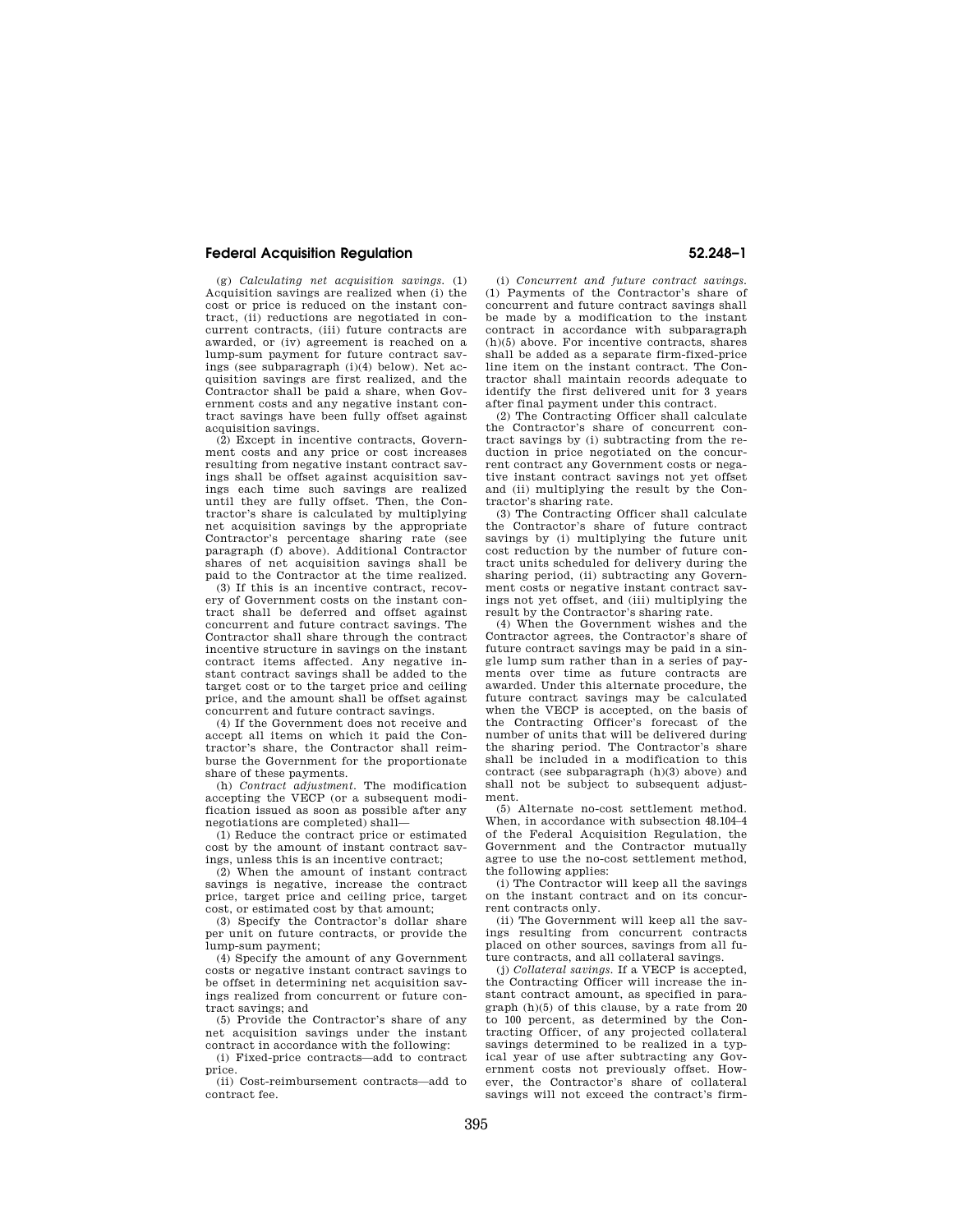# **Federal Acquisition Regulation 52.248–1**

(g) *Calculating net acquisition savings.* (1) Acquisition savings are realized when (i) the cost or price is reduced on the instant contract, (ii) reductions are negotiated in concurrent contracts, (iii) future contracts are awarded, or (iv) agreement is reached on a lump-sum payment for future contract savings (see subparagraph (i)(4) below). Net acquisition savings are first realized, and the Contractor shall be paid a share, when Government costs and any negative instant contract savings have been fully offset against acquisition savings.

(2) Except in incentive contracts, Government costs and any price or cost increases resulting from negative instant contract savings shall be offset against acquisition savings each time such savings are realized until they are fully offset. Then, the Contractor's share is calculated by multiplying net acquisition savings by the appropriate Contractor's percentage sharing rate (see paragraph (f) above). Additional Contractor shares of net acquisition savings shall be paid to the Contractor at the time realized.

(3) If this is an incentive contract, recovery of Government costs on the instant contract shall be deferred and offset against concurrent and future contract savings. The Contractor shall share through the contract incentive structure in savings on the instant contract items affected. Any negative instant contract savings shall be added to the target cost or to the target price and ceiling price, and the amount shall be offset against concurrent and future contract savings.

(4) If the Government does not receive and accept all items on which it paid the Contractor's share, the Contractor shall reimburse the Government for the proportionate share of these payments.

(h) *Contract adjustment.* The modification accepting the VECP (or a subsequent modification issued as soon as possible after any negotiations are completed) shall—

(1) Reduce the contract price or estimated cost by the amount of instant contract savings, unless this is an incentive contract;

(2) When the amount of instant contract savings is negative, increase the contract price, target price and ceiling price, target cost, or estimated cost by that amount;

(3) Specify the Contractor's dollar share per unit on future contracts, or provide the lump-sum payment;

(4) Specify the amount of any Government costs or negative instant contract savings to be offset in determining net acquisition savings realized from concurrent or future contract savings; and

(5) Provide the Contractor's share of any net acquisition savings under the instant contract in accordance with the following:

(i) Fixed-price contracts—add to contract price.

(ii) Cost-reimbursement contracts—add to contract fee.

(i) *Concurrent and future contract savings.*  (1) Payments of the Contractor's share of concurrent and future contract savings shall be made by a modification to the instant contract in accordance with subparagraph (h)(5) above. For incentive contracts, shares shall be added as a separate firm-fixed-price line item on the instant contract. The Contractor shall maintain records adequate to identify the first delivered unit for 3 years after final payment under this contract.

(2) The Contracting Officer shall calculate the Contractor's share of concurrent contract savings by (i) subtracting from the reduction in price negotiated on the concurrent contract any Government costs or negative instant contract savings not yet offset and (ii) multiplying the result by the Contractor's sharing rate.

(3) The Contracting Officer shall calculate the Contractor's share of future contract savings by (i) multiplying the future unit cost reduction by the number of future contract units scheduled for delivery during the sharing period, (ii) subtracting any Government costs or negative instant contract savings not yet offset, and (iii) multiplying the result by the Contractor's sharing rate.

(4) When the Government wishes and the Contractor agrees, the Contractor's share of future contract savings may be paid in a single lump sum rather than in a series of payments over time as future contracts are awarded. Under this alternate procedure, the future contract savings may be calculated when the VECP is accepted, on the basis of the Contracting Officer's forecast of the number of units that will be delivered during the sharing period. The Contractor's share shall be included in a modification to this contract (see subparagraph (h)(3) above) and shall not be subject to subsequent adjustment.

(5) Alternate no-cost settlement method. When, in accordance with subsection 48.104–4 of the Federal Acquisition Regulation, the Government and the Contractor mutually agree to use the no-cost settlement method, the following applies:

(i) The Contractor will keep all the savings on the instant contract and on its concurrent contracts only.

(ii) The Government will keep all the savings resulting from concurrent contracts placed on other sources, savings from all future contracts, and all collateral savings.

(j) *Collateral savings.* If a VECP is accepted, the Contracting Officer will increase the instant contract amount, as specified in paragraph (h)(5) of this clause, by a rate from 20 to 100 percent, as determined by the Contracting Officer, of any projected collateral savings determined to be realized in a typical year of use after subtracting any Government costs not previously offset. However, the Contractor's share of collateral savings will not exceed the contract's firm-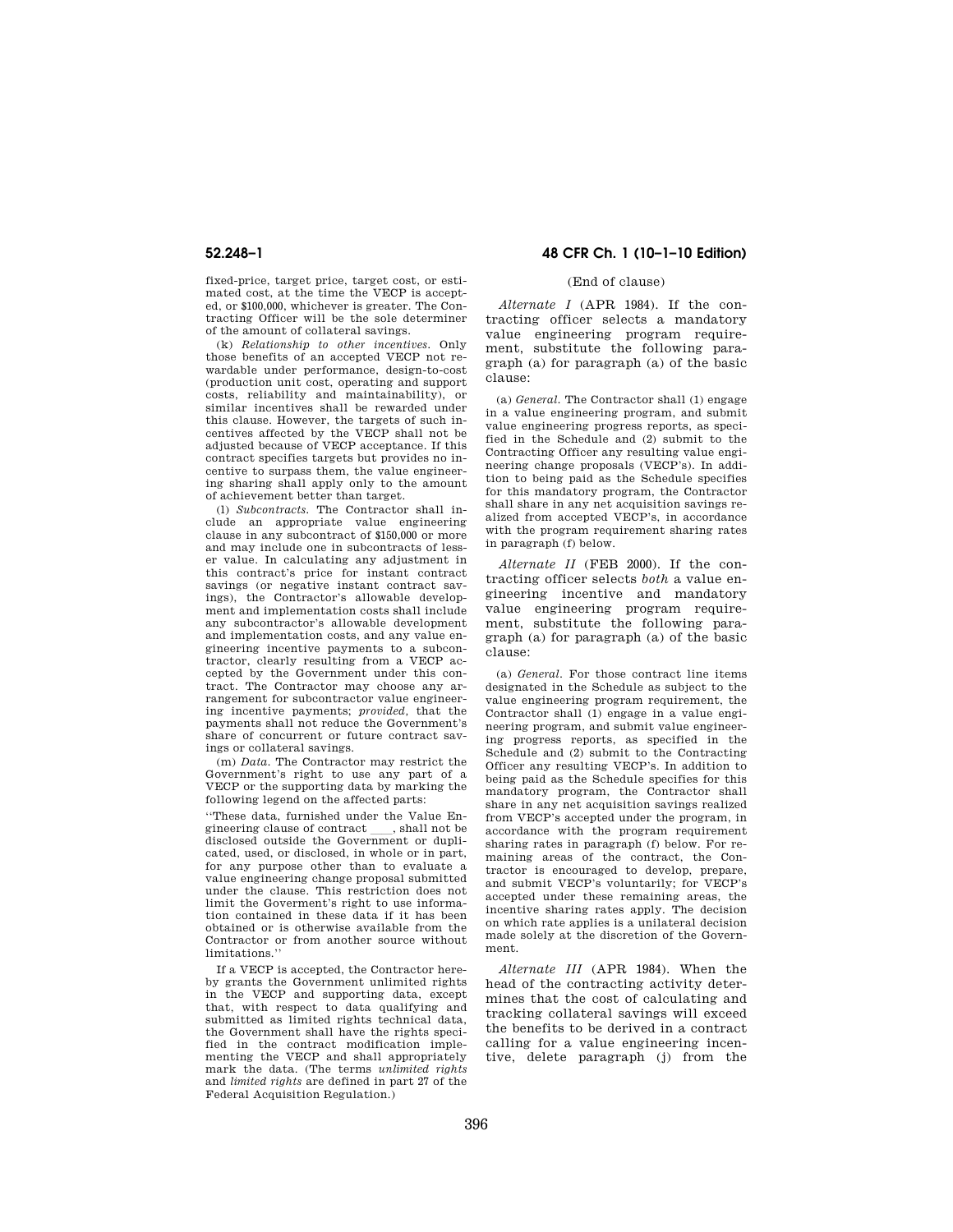fixed-price, target price, target cost, or estimated cost, at the time the VECP is accepted, or \$100,000, whichever is greater. The Contracting Officer will be the sole determiner of the amount of collateral savings.

(k) *Relationship to other incentives.* Only those benefits of an accepted VECP not rewardable under performance, design-to-cost (production unit cost, operating and support costs, reliability and maintainability), or similar incentives shall be rewarded under this clause. However, the targets of such incentives affected by the VECP shall not be adjusted because of VECP acceptance. If this contract specifies targets but provides no incentive to surpass them, the value engineering sharing shall apply only to the amount of achievement better than target.

(l) *Subcontracts.* The Contractor shall include an appropriate value engineering clause in any subcontract of \$150,000 or more and may include one in subcontracts of lesser value. In calculating any adjustment in this contract's price for instant contract savings (or negative instant contract savings), the Contractor's allowable development and implementation costs shall include any subcontractor's allowable development and implementation costs, and any value engineering incentive payments to a subcontractor, clearly resulting from a VECP accepted by the Government under this contract. The Contractor may choose any arrangement for subcontractor value engineering incentive payments; *provided,* that the payments shall not reduce the Government's share of concurrent or future contract savings or collateral savings.

(m) *Data.* The Contractor may restrict the Government's right to use any part of a VECP or the supporting data by marking the following legend on the affected parts:

''These data, furnished under the Value Engineering clause of contract \_\_\_, shall not be disclosed outside the Government or duplicated, used, or disclosed, in whole or in part, for any purpose other than to evaluate a value engineering change proposal submitted under the clause. This restriction does not limit the Goverment's right to use information contained in these data if it has been obtained or is otherwise available from the Contractor or from another source without limitations.

If a VECP is accepted, the Contractor hereby grants the Government unlimited rights in the VECP and supporting data, except that, with respect to data qualifying and submitted as limited rights technical data, the Government shall have the rights specified in the contract modification implementing the VECP and shall appropriately mark the data. (The terms *unlimited rights*  and *limited rights* are defined in part 27 of the Federal Acquisition Regulation.)

# **52.248–1 48 CFR Ch. 1 (10–1–10 Edition)**

# (End of clause)

*Alternate I* (APR 1984). If the contracting officer selects a mandatory value engineering program requirement, substitute the following paragraph (a) for paragraph (a) of the basic clause:

(a) *General.* The Contractor shall (1) engage in a value engineering program, and submit value engineering progress reports, as specified in the Schedule and (2) submit to the Contracting Officer any resulting value engineering change proposals (VECP's). In addition to being paid as the Schedule specifies for this mandatory program, the Contractor shall share in any net acquisition savings realized from accepted VECP's, in accordance with the program requirement sharing rates in paragraph (f) below.

*Alternate II* (FEB 2000). If the contracting officer selects *both* a value engineering incentive and mandatory value engineering program requirement, substitute the following paragraph (a) for paragraph (a) of the basic clause:

(a) *General.* For those contract line items designated in the Schedule as subject to the value engineering program requirement, the Contractor shall (1) engage in a value engineering program, and submit value engineering progress reports, as specified in the Schedule and (2) submit to the Contracting Officer any resulting VECP's. In addition to being paid as the Schedule specifies for this mandatory program, the Contractor shall share in any net acquisition savings realized from VECP's accepted under the program, in accordance with the program requirement sharing rates in paragraph (f) below. For remaining areas of the contract, the Contractor is encouraged to develop, prepare, and submit VECP's voluntarily; for VECP's accepted under these remaining areas, the incentive sharing rates apply. The decision on which rate applies is a unilateral decision made solely at the discretion of the Government.

*Alternate III* (APR 1984). When the head of the contracting activity determines that the cost of calculating and tracking collateral savings will exceed the benefits to be derived in a contract calling for a value engineering incentive, delete paragraph (j) from the